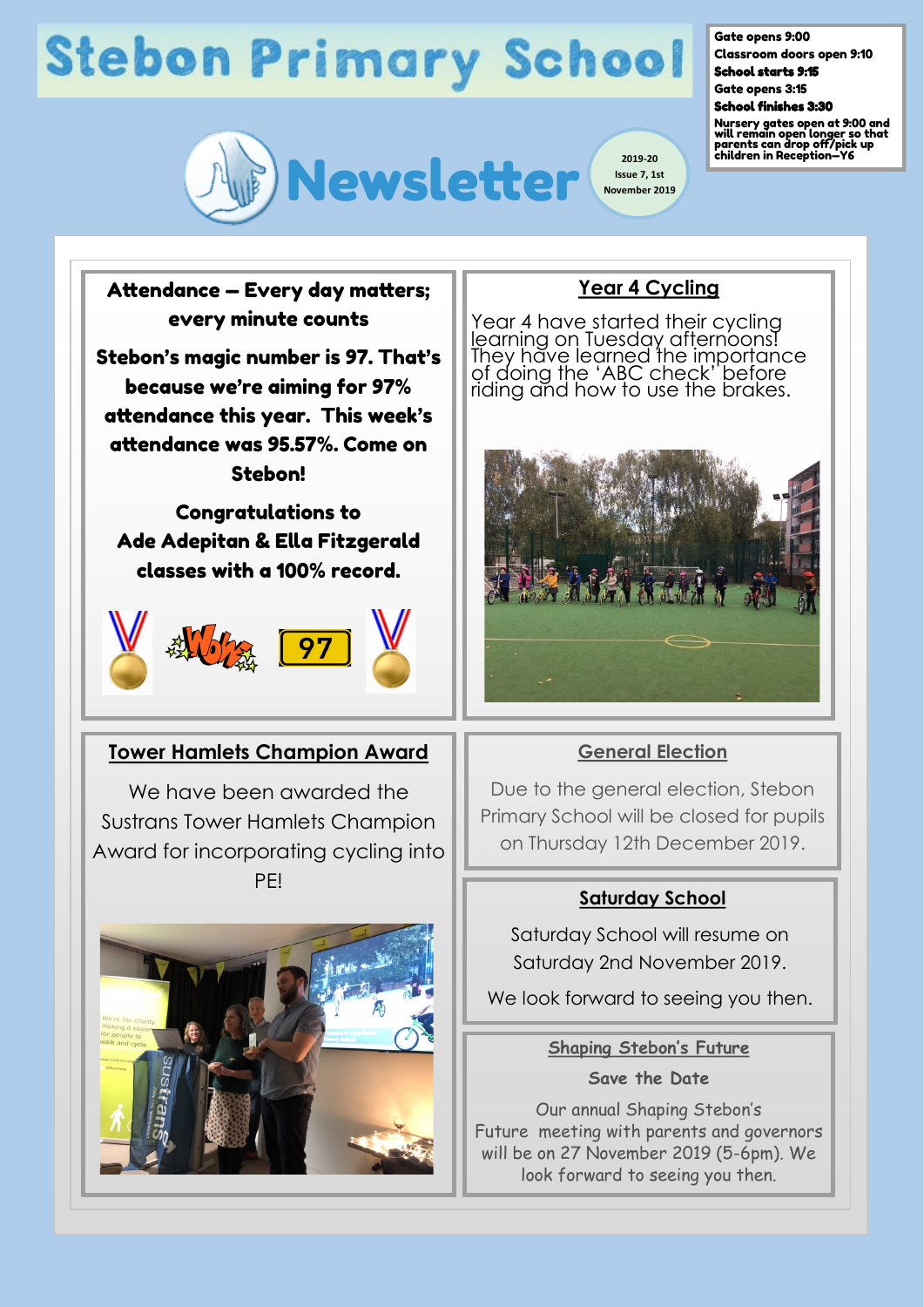# **Stebon Primary School**



**Issue 7, 1st November 2019**

#### Gate opens 9:00

Classroom doors open 9:10 School starts 9:15

Gate opens 3:15

School finishes 3:30

Nursery gates open at 9:00 and will remain open longer so that parents can drop off/pick up children in Reception—Y6

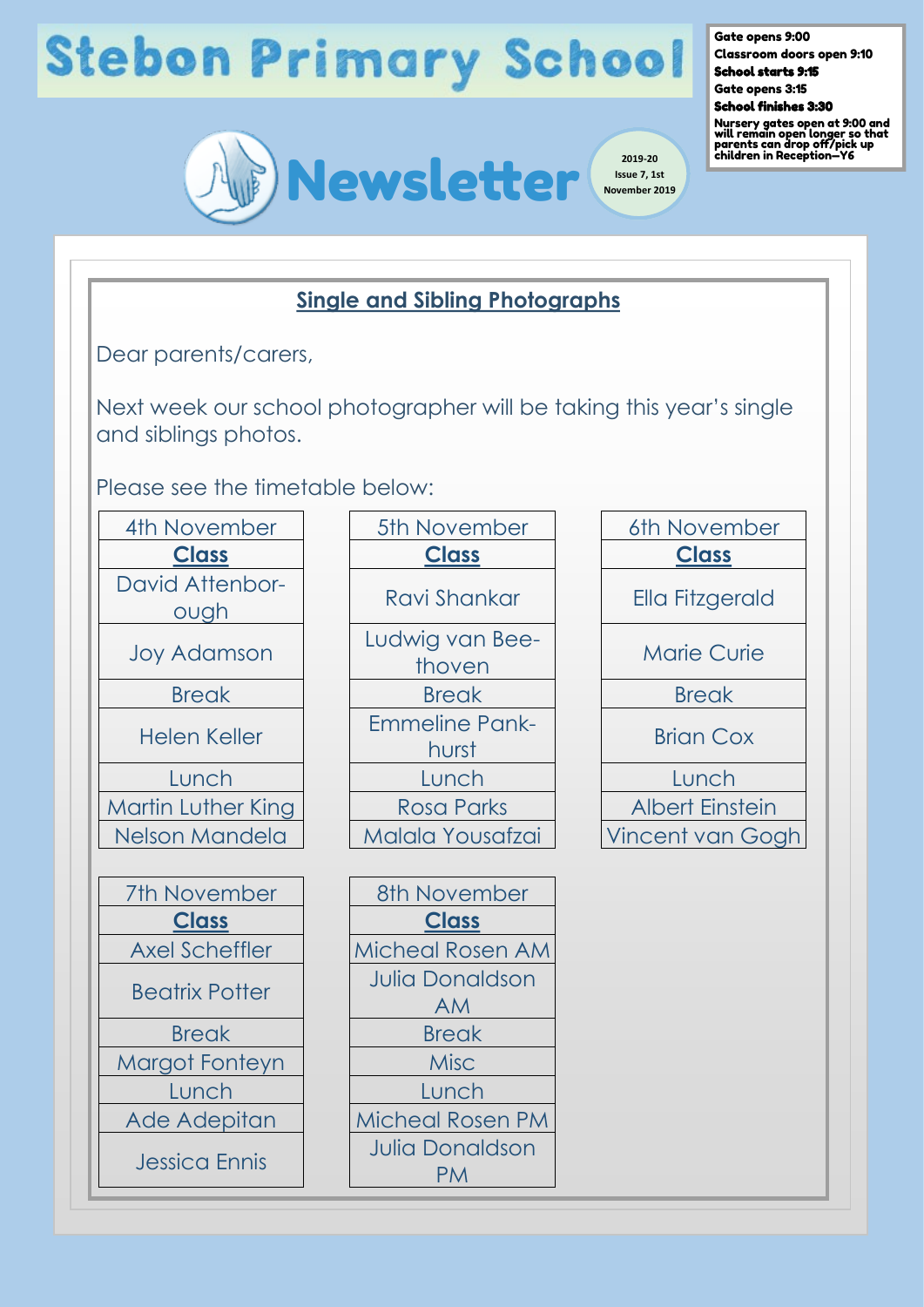# **Stebon Primary School**

Gate opens 9:00

Classroom doors open 9:10 School starts 9:15

Gate opens 3:15



Nursery gates open at 9:00 and will remain open longer so that parents can drop off/pick up children in Reception—Y6



#### **Single and Sibling Photographs**

Dear parents/carers,

Next week our school photographer will be taking this year's single and siblings photos.

Please see the timetable below:

| 4th November                   | 5th November                                      |
|--------------------------------|---------------------------------------------------|
| <u>Class</u>                   | <b>Class</b>                                      |
| <b>David Attenbor-</b><br>ough | Ravi Shankar                                      |
| <b>Joy Adamson</b>             | Ludwig van Bee<br>thoven                          |
| <b>Break</b>                   | <b>Break</b>                                      |
| <b>Helen Keller</b>            | <b>Emmeline Pank</b><br>hurst                     |
| Lunch                          | Lunch                                             |
| <b>Martin Luther King</b>      | Rosa Parks                                        |
| Nelson Mandela                 | <b>Malala Yousafza</b>                            |
|                                |                                                   |
| 7th November                   | 8th November                                      |
| <u>Class</u>                   | <b>Class</b>                                      |
| <b>Axel Scheffler</b>          | Micheal Rosen A                                   |
| <b>Beatrix Potter</b>          | <b>Julia Donaldsor</b><br>AM                      |
| <b>Break</b>                   | <b>Break</b>                                      |
| Margot Fonteyn                 | <b>Misc</b>                                       |
| Lunch                          | Lunch                                             |
| Ade Adepitan                   | Micheal Rosen P                                   |
| <b>Jessica Ennis</b>           | <b>Julia Donaldsor</b><br>$\mathbf{D} \mathbf{A}$ |

| 4th November                   | 5th November                   | 6th November           |
|--------------------------------|--------------------------------|------------------------|
| <b>Class</b>                   | <b>Class</b>                   | <b>Class</b>           |
| <b>David Attenbor-</b><br>ough | Ravi Shankar                   | Ella Fitzgerald        |
| <b>Joy Adamson</b>             | Ludwig van Bee-<br>thoven      | <b>Marie Curie</b>     |
| <b>Break</b>                   | <b>Break</b>                   | <b>Break</b>           |
| <b>Helen Keller</b>            | <b>Emmeline Pank-</b><br>hurst | <b>Brian Cox</b>       |
| Lunch                          | Lunch                          | Lunch                  |
| <b>Martin Luther King</b>      | <b>Rosa Parks</b>              | <b>Albert Einstein</b> |
| Nelson Mandela                 | Malala Yousafzai               | <b>Vincent van Gog</b> |
|                                |                                |                        |

| artın Luther King     | ROSO POIKS              |
|-----------------------|-------------------------|
| <b>Jelson Mandela</b> | Malala Yousafzai        |
|                       |                         |
| 7th November          | 8th November            |
| <b>Class</b>          | <b>Class</b>            |
| <b>Axel Scheffler</b> | <b>Micheal Rosen AM</b> |
| <b>Beatrix Potter</b> | <b>Julia Donaldson</b>  |
|                       | <b>AM</b>               |
| <b>Break</b>          | <b>Break</b>            |
| Aargot Fonteyn        | <b>Misc</b>             |
| Lunch                 | Lunch                   |
| Ade Adepitan          | <b>Micheal Rosen PM</b> |
| <b>Jessica Ennis</b>  | <b>Julia Donaldson</b>  |
|                       | РM                      |

| November                     | 6th November           |
|------------------------------|------------------------|
| <b>Class</b>                 | <b>Class</b>           |
| vi Shankar                   | <b>Ella Fitzgerald</b> |
| vig van Bee-<br>thoven       | <b>Marie Curie</b>     |
| <b>Break</b>                 | <b>Break</b>           |
| <b>neline Pank-</b><br>hurst | <b>Brian Cox</b>       |
| Lunch                        | Lunch                  |
| <b>Sa Parks</b>              | <b>Albert Einstein</b> |
| ıla Yousafzai                | Vincent van Gogh       |